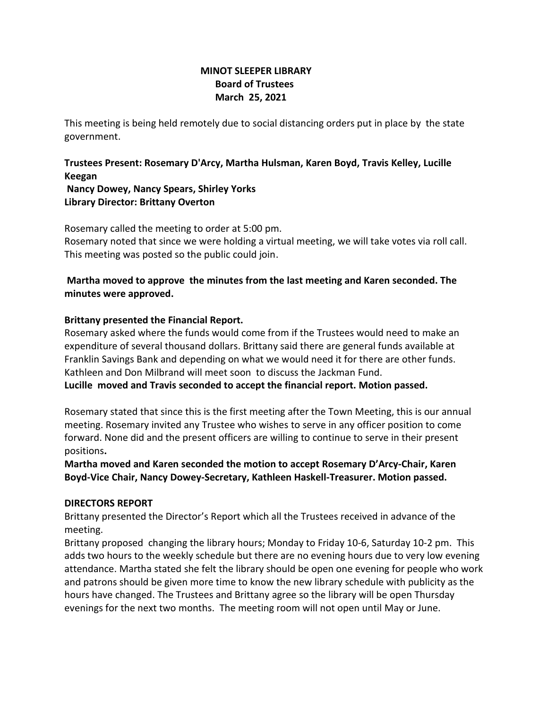## **MINOT SLEEPER LIBRARY Board of Trustees March 25, 2021**

This meeting is being held remotely due to social distancing orders put in place by the state government.

**Trustees Present: Rosemary D'Arcy, Martha Hulsman, Karen Boyd, Travis Kelley, Lucille Keegan**

**Nancy Dowey, Nancy Spears, Shirley Yorks Library Director: Brittany Overton** 

Rosemary called the meeting to order at 5:00 pm. Rosemary noted that since we were holding a virtual meeting, we will take votes via roll call. This meeting was posted so the public could join.

# **Martha moved to approve the minutes from the last meeting and Karen seconded. The minutes were approved.**

# **Brittany presented the Financial Report.**

Rosemary asked where the funds would come from if the Trustees would need to make an expenditure of several thousand dollars. Brittany said there are general funds available at Franklin Savings Bank and depending on what we would need it for there are other funds. Kathleen and Don Milbrand will meet soon to discuss the Jackman Fund. **Lucille moved and Travis seconded to accept the financial report. Motion passed.**

Rosemary stated that since this is the first meeting after the Town Meeting, this is our annual meeting. Rosemary invited any Trustee who wishes to serve in any officer position to come forward. None did and the present officers are willing to continue to serve in their present positions**.**

**Martha moved and Karen seconded the motion to accept Rosemary D'Arcy-Chair, Karen Boyd-Vice Chair, Nancy Dowey-Secretary, Kathleen Haskell-Treasurer. Motion passed.**

## **DIRECTORS REPORT**

Brittany presented the Director's Report which all the Trustees received in advance of the meeting.

Brittany proposed changing the library hours; Monday to Friday 10-6, Saturday 10-2 pm. This adds two hours to the weekly schedule but there are no evening hours due to very low evening attendance. Martha stated she felt the library should be open one evening for people who work and patrons should be given more time to know the new library schedule with publicity as the hours have changed. The Trustees and Brittany agree so the library will be open Thursday evenings for the next two months. The meeting room will not open until May or June.